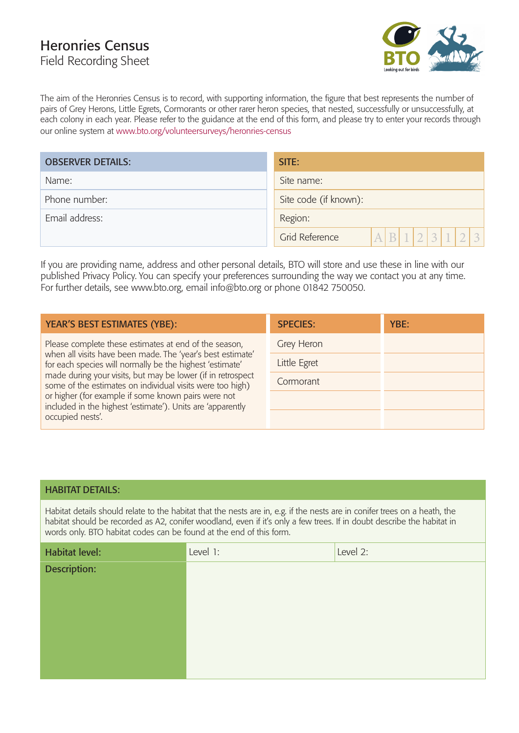# Heronries Census Field Recording Sheet



The aim of the Heronries Census is to record, with supporting information, the figure that best represents the number of pairs of Grey Herons, Little Egrets, Cormorants or other rarer heron species, that nested, successfully or unsuccessfully, at each colony in each year. Please refer to the guidance at the end of this form, and please try to enter your records through our online system at www.bto.org/volunteersurveys/heronries-census

| <b>OBSERVER DETAILS:</b> | SITE:                                             |  |  |
|--------------------------|---------------------------------------------------|--|--|
| Name:                    | Site name:                                        |  |  |
| Phone number:            | Site code (if known):                             |  |  |
| Email address:           | Region:                                           |  |  |
|                          | $A$ $B$ $1$ $2$ $3$ $1$ $2$ $3$<br>Grid Reference |  |  |

If you are providing name, address and other personal details, BTO will store and use these in line with our published Privacy Policy. You can specify your preferences surrounding the way we contact you at any time. For further details, see www.bto.org, email info@bto.org or phone 01842 750050.

| <b>YEAR'S BEST ESTIMATES (YBE):</b>                                                                                                                                                                                                                                                                                                                                                                                              | <b>SPECIES:</b> | YBE: |
|----------------------------------------------------------------------------------------------------------------------------------------------------------------------------------------------------------------------------------------------------------------------------------------------------------------------------------------------------------------------------------------------------------------------------------|-----------------|------|
| Please complete these estimates at end of the season,<br>when all visits have been made. The 'year's best estimate'<br>for each species will normally be the highest 'estimate'<br>made during your visits, but may be lower (if in retrospect<br>some of the estimates on individual visits were too high)<br>or higher (for example if some known pairs were not<br>included in the highest 'estimate'). Units are 'apparently | Grey Heron      |      |
|                                                                                                                                                                                                                                                                                                                                                                                                                                  | Little Egret    |      |
|                                                                                                                                                                                                                                                                                                                                                                                                                                  | Cormorant       |      |
|                                                                                                                                                                                                                                                                                                                                                                                                                                  |                 |      |
| occupied nests'.                                                                                                                                                                                                                                                                                                                                                                                                                 |                 |      |

### HABITAT DETAILS:

Habitat details should relate to the habitat that the nests are in, e.g. if the nests are in conifer trees on a heath, the habitat should be recorded as A2, conifer woodland, even if it's only a few trees. If in doubt describe the habitat in words only. BTO habitat codes can be found at the end of this form.

| <b>Habitat level:</b> | Level 1: | Level 2: |
|-----------------------|----------|----------|
| Description:          |          |          |
|                       |          |          |
|                       |          |          |
|                       |          |          |
|                       |          |          |
|                       |          |          |
|                       |          |          |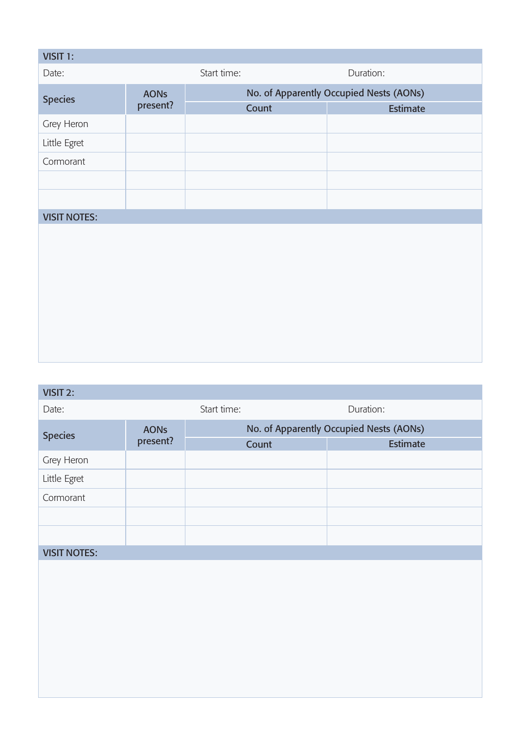| VISIT 1:            |             |                                         |                 |
|---------------------|-------------|-----------------------------------------|-----------------|
| Date:               |             | Start time:                             | Duration:       |
| <b>Species</b>      | <b>AONs</b> | No. of Apparently Occupied Nests (AONs) |                 |
|                     | present?    | Count                                   | <b>Estimate</b> |
| Grey Heron          |             |                                         |                 |
| Little Egret        |             |                                         |                 |
| Cormorant           |             |                                         |                 |
|                     |             |                                         |                 |
|                     |             |                                         |                 |
| <b>VISIT NOTES:</b> |             |                                         |                 |
|                     |             |                                         |                 |
|                     |             |                                         |                 |
|                     |             |                                         |                 |
|                     |             |                                         |                 |
|                     |             |                                         |                 |
|                     |             |                                         |                 |
|                     |             |                                         |                 |
|                     |             |                                         |                 |

## VISIT 2:

| Date:               |                         | Start time:                             |  | Duration: |
|---------------------|-------------------------|-----------------------------------------|--|-----------|
| <b>Species</b>      | <b>AONs</b><br>present? | No. of Apparently Occupied Nests (AONs) |  |           |
|                     |                         | Count                                   |  | Estimate  |
| Grey Heron          |                         |                                         |  |           |
| Little Egret        |                         |                                         |  |           |
| Cormorant           |                         |                                         |  |           |
|                     |                         |                                         |  |           |
|                     |                         |                                         |  |           |
| <b>VISIT NOTES:</b> |                         |                                         |  |           |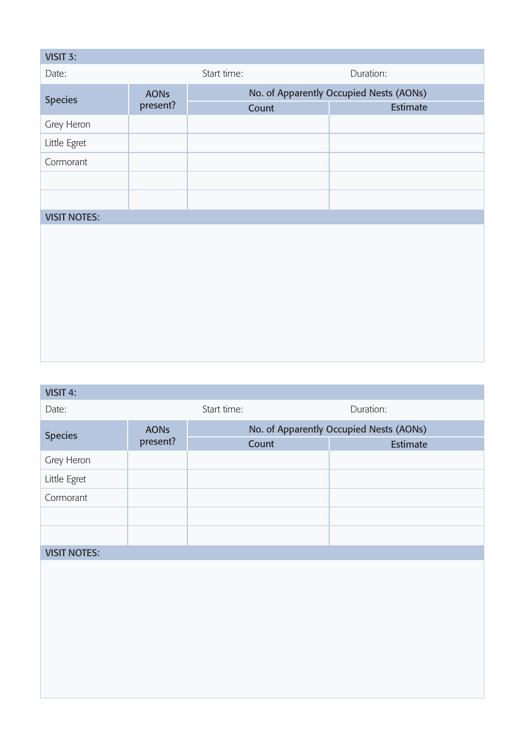| VISIT 3:            |             |             |                                         |
|---------------------|-------------|-------------|-----------------------------------------|
| Date:               |             | Start time: | Duration:                               |
| <b>Species</b>      | <b>AONs</b> |             | No. of Apparently Occupied Nests (AONs) |
|                     | present?    | Count       | Estimate                                |
| Grey Heron          |             |             |                                         |
| Little Egret        |             |             |                                         |
| Cormorant           |             |             |                                         |
|                     |             |             |                                         |
|                     |             |             |                                         |
| <b>VISIT NOTES:</b> |             |             |                                         |
|                     |             |             |                                         |
|                     |             |             |                                         |
|                     |             |             |                                         |
|                     |             |             |                                         |
|                     |             |             |                                         |
|                     |             |             |                                         |
|                     |             |             |                                         |
|                     |             |             |                                         |

| VISIT 4: |             |
|----------|-------------|
| Date:    | Start time: |

| <b>Species</b>      | <b>AONs</b><br>present? | No. of Apparently Occupied Nests (AONs) |                 |
|---------------------|-------------------------|-----------------------------------------|-----------------|
|                     |                         | Count                                   | <b>Estimate</b> |
| Grey Heron          |                         |                                         |                 |
| Little Egret        |                         |                                         |                 |
| Cormorant           |                         |                                         |                 |
|                     |                         |                                         |                 |
|                     |                         |                                         |                 |
| <b>VISIT NOTES:</b> |                         |                                         |                 |

Start time: Duration: